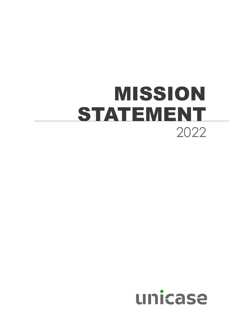## MISSION STATEMENT 2022

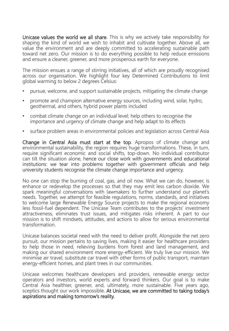Unicase values the world we all share. This is why we actively take responsibility for shaping the kind of world we wish to inhabit and cultivate together. Above all, we value the environment and are deeply committed to accelerating sustainable path toward net zero. Our mission is to do everything possible to help reduce emissions and ensure a cleaner, greener, and more prosperous earth for everyone.

The mission ensues a range of stirring initiatives, all of which are proudly recognised across our organisation. We highlight four key Determined Contributions to limit global warming to below 2 degrees Celsius:

- pursue, welcome, and support sustainable projects, mitigating the climate change
- promote and champion alternative energy sources, including wind, solar, hydro, geothermal, and others, hybrid power plants included
- combat climate change on an individual level; help others to recognise the importance and urgency of climate change and help adapt to its effects
- surface problem areas in environmental policies and legislation across Central Asia

Change in Central Asia must start at the top. Apropos of climate change and environmental sustainability, the region requires huge transformations. These, in turn, require significant economic and social shifts, top-down. No individual contributor can tilt the situation alone, hence our close work with governments and educational institutions: we tear into problems together with government officials and help university students recognise the climate change importance and urgency.

No one can stop the burning of coal, gas, and oil now. What we can do, however, is enhance or redevelop the processes so that they may emit less carbon dioxide. We spark meaningful conversations with lawmakers to further understand our planet's needs. Together, we attempt for feasible regulations, norms, standards, and initiatives to welcome large Renewable Energy Source projects to make the regional economy less fossil-fuel dependent. The Unicase Team contributes to the projects' investment attractiveness, eliminates trust issues, and mitigates risks inherent. A part to our mission is to shift mindsets, attitudes, and actions to allow for serious environmental transformation.

Unicase balances societal need with the need to deliver profit. Alongside the net zero pursuit, our mission pertains to saving lives, making it easier for healthcare providers to help those in need, relieving burdens from forest and land management, and making our shared environment more energy-efficient. We truly live our mission. We minimise air travel, substitute car travel with other forms of public transport, maintain energy-efficient homes, and plant trees in our communities.

Unicase welcomes healthcare developers and providers, renewable energy sector operators and investors, world experts and forward thinkers. Our goal is to make Central Asia healthier, greener, and, ultimately, more sustainable. Five years ago, sceptics thought our work impossible. At Unicase, we are committed to taking today's aspirations and making tomorrow's reality.